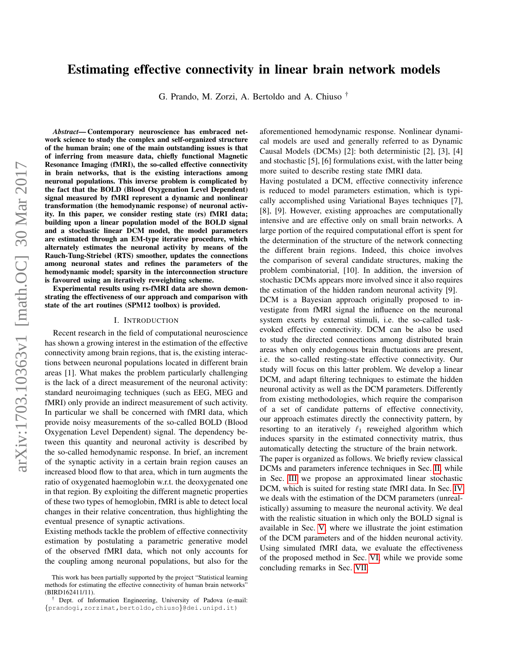# Estimating effective connectivity in linear brain network models

G. Prando, M. Zorzi, A. Bertoldo and A. Chiuso †

*Abstract*— Contemporary neuroscience has embraced network science to study the complex and self-organized structure of the human brain; one of the main outstanding issues is that of inferring from measure data, chiefly functional Magnetic Resonance Imaging (fMRI), the so-called effective connectivity in brain networks, that is the existing interactions among neuronal populations. This inverse problem is complicated by the fact that the BOLD (Blood Oxygenation Level Dependent) signal measured by fMRI represent a dynamic and nonlinear transformation (the hemodynamic response) of neuronal activity. In this paper, we consider resting state (rs) fMRI data; building upon a linear population model of the BOLD signal and a stochastic linear DCM model, the model parameters are estimated through an EM-type iterative procedure, which alternately estimates the neuronal activity by means of the Rauch-Tung-Striebel (RTS) smoother, updates the connections among neuronal states and refines the parameters of the hemodynamic model; sparsity in the interconnection structure is favoured using an iteratively reweighting scheme.

Experimental results using rs-fMRI data are shown demonstrating the effectiveness of our approach and comparison with state of the art routines (SPM12 toolbox) is provided.

## I. INTRODUCTION

Recent research in the field of computational neuroscience has shown a growing interest in the estimation of the effective connectivity among brain regions, that is, the existing interactions between neuronal populations located in different brain areas [1]. What makes the problem particularly challenging is the lack of a direct measurement of the neuronal activity: standard neuroimaging techniques (such as EEG, MEG and fMRI) only provide an indirect measurement of such activity. In particular we shall be concerned with fMRI data, which provide noisy measurements of the so-called BOLD (Blood Oxygenation Level Dependent) signal. The dependency between this quantity and neuronal activity is described by the so-called hemodynamic response. In brief, an increment of the synaptic activity in a certain brain region causes an increased blood flow to that area, which in turn augments the ratio of oxygenated haemoglobin w.r.t. the deoxygenated one in that region. By exploiting the different magnetic properties of these two types of hemoglobin, fMRI is able to detect local changes in their relative concentration, thus highlighting the eventual presence of synaptic activations.

Existing methods tackle the problem of effective connectivity estimation by postulating a parametric generative model of the observed fMRI data, which not only accounts for the coupling among neuronal populations, but also for the aforementioned hemodynamic response. Nonlinear dynamical models are used and generally referred to as Dynamic Causal Models (DCMs) [2]: both deterministic [2], [3], [4] and stochastic [5], [6] formulations exist, with the latter being more suited to describe resting state fMRI data.

Having postulated a DCM, effective connectivity inference is reduced to model parameters estimation, which is typically accomplished using Variational Bayes techniques [7], [8], [9]. However, existing approaches are computationally intensive and are effective only on small brain networks. A large portion of the required computational effort is spent for the determination of the structure of the network connecting the different brain regions. Indeed, this choice involves the comparison of several candidate structures, making the problem combinatorial, [10]. In addition, the inversion of stochastic DCMs appears more involved since it also requires the estimation of the hidden random neuronal activity [9].

DCM is a Bayesian approach originally proposed to investigate from fMRI signal the influence on the neuronal system exerts by external stimuli, i.e. the so-called taskevoked effective connectivity. DCM can be also be used to study the directed connections among distributed brain areas when only endogenous brain fluctuations are present, i.e. the so-called resting-state effective connectivity. Our study will focus on this latter problem. We develop a linear DCM, and adapt filtering techniques to estimate the hidden neuronal activity as well as the DCM parameters. Differently from existing methodologies, which require the comparison of a set of candidate patterns of effective connectivity, our approach estimates directly the connectivity pattern, by resorting to an iteratively  $\ell_1$  reweighed algorithm which induces sparsity in the estimated connectivity matrix, thus automatically detecting the structure of the brain network.

The paper is organized as follows. We briefly review classical DCMs and parameters inference techniques in Sec. [II,](#page-1-0) while in Sec. [III](#page-2-0) we propose an approximated linear stochastic DCM, which is suited for resting state fMRI data. In Sec. [IV](#page-3-0) we deals with the estimation of the DCM parameters (unrealistically) assuming to measure the neuronal activity. We deal with the realistic situation in which only the BOLD signal is available in Sec. [V,](#page-4-0) where we illustrate the joint estimation of the DCM parameters and of the hidden neuronal activity. Using simulated fMRI data, we evaluate the effectiveness of the proposed method in Sec. [VI,](#page-5-0) while we provide some concluding remarks in Sec. [VII.](#page-6-0)

This work has been partially supported by the project "Statistical learning methods for estimating the effective connectivity of human brain networks" (BIRD162411/11).

Dept. of Information Engineering, University of Padova (e-mail: {prandogi,zorzimat,bertoldo,chiuso}@dei.unipd.it)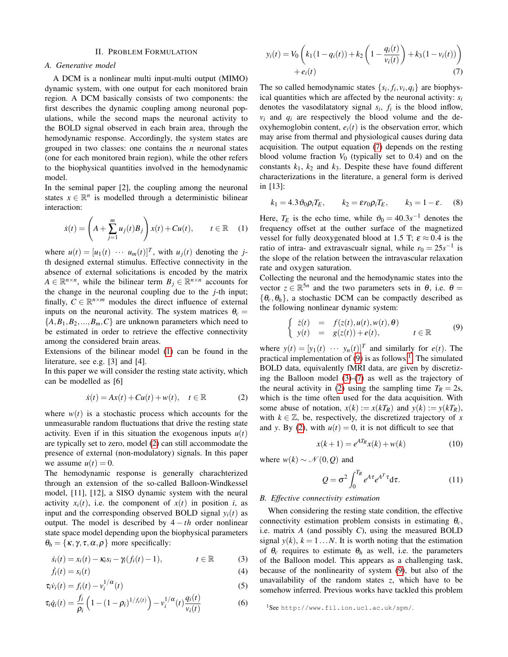#### II. PROBLEM FORMULATION

# <span id="page-1-0"></span>*A. Generative model*

A DCM is a nonlinear multi input-multi output (MIMO) dynamic system, with one output for each monitored brain region. A DCM basically consists of two components: the first describes the dynamic coupling among neuronal populations, while the second maps the neuronal activity to the BOLD signal observed in each brain area, through the hemodynamic response. Accordingly, the system states are grouped in two classes: one contains the *n* neuronal states (one for each monitored brain region), while the other refers to the biophysical quantities involved in the hemodynamic model.

In the seminal paper [2], the coupling among the neuronal states  $x \in \mathbb{R}^n$  is modelled through a deterministic bilinear interaction:

<span id="page-1-1"></span>
$$
\dot{x}(t) = \left(A + \sum_{j=1}^{m} u_j(t)B_j\right) x(t) + Cu(t), \qquad t \in \mathbb{R} \quad (1)
$$

where  $u(t) = [u_1(t) \cdots u_m(t)]^T$ , with  $u_j(t)$  denoting the *j*th designed external stimulus. Effective connectivity in the absence of external solicitations is encoded by the matrix  $A \in \mathbb{R}^{n \times n}$ , while the bilinear term  $B_j \in \mathbb{R}^{n \times n}$  accounts for the change in the neuronal coupling due to the *j*-th input; finally,  $C \in \mathbb{R}^{n \times m}$  modules the direct influence of external inputs on the neuronal activity. The system matrices  $\theta_c =$  ${A, B_1, B_2, ..., B_m, C}$  are unknown parameters which need to be estimated in order to retrieve the effective connectivity among the considered brain areas.

Extensions of the bilinear model [\(1\)](#page-1-1) can be found in the literature, see e.g. [3] and [4].

In this paper we will consider the resting state activity, which can be modelled as [6]

<span id="page-1-2"></span>
$$
\dot{x}(t) = Ax(t) + Cu(t) + w(t), \quad t \in \mathbb{R}
$$
 (2)

where  $w(t)$  is a stochastic process which accounts for the unmeasurable random fluctuations that drive the resting state activity. Even if in this situation the exogenous inputs  $u(t)$ are typically set to zero, model [\(2\)](#page-1-2) can still accommodate the presence of external (non-modulatory) signals. In this paper we assume  $u(t) = 0$ .

The hemodynamic response is generally charachterized through an extension of the so-called Balloon-Windkessel model, [11], [12], a SISO dynamic system with the neural activity  $x_i(t)$ , i.e. the component of  $x(t)$  in position *i*, as input and the corresponding observed BOLD signal  $y_i(t)$  as output. The model is described by  $4 - th$  order nonlinear state space model depending upon the biophysical parameters  $\theta_h = {\kappa, \gamma, \tau, \alpha, \rho}$  more specifically:

$$
\dot{s}_i(t) = x_i(t) - \kappa_i s_i - \gamma_i (f_i(t) - 1), \qquad t \in \mathbb{R} \tag{3}
$$
\n
$$
\dot{f}_i(t) = s_i(t) \tag{4}
$$

$$
\tau_i \dot{v}_i(t) = f_i(t) - v_i^{1/\alpha}(t) \tag{5}
$$

$$
\tau_i \dot{q}_i(t) = \frac{f_i}{\rho_i} \left( 1 - (1 - \rho_i)^{1/f_i(t)} \right) - v_i^{1/\alpha}(t) \frac{q_i(t)}{v_i(t)}
$$
(6)

<span id="page-1-3"></span>
$$
y_i(t) = V_0 \left( k_1 (1 - q_i(t)) + k_2 \left( 1 - \frac{q_i(t)}{v_i(t)} \right) + k_3 (1 - v_i(t)) \right) + e_i(t)
$$
\n(7)

The so called hemodynamic states  $\{s_i, f_i, v_i, q_i\}$  are biophysical quantities which are affected by the neuronal activity: *s<sup>i</sup>* denotes the vasodilatatory signal  $s_i$ ,  $f_i$  is the blood inflow,  $v_i$  and  $q_i$  are respectively the blood volume and the deoxyhemoglobin content,  $e_i(t)$  is the observation error, which may arise from thermal and physiological causes during data acquisition. The output equation [\(7\)](#page-1-3) depends on the resting blood volume fraction  $V_0$  (typically set to 0.4) and on the constants  $k_1$ ,  $k_2$  and  $k_3$ . Despite these have found different characterizations in the literature, a general form is derived in [13]:

$$
k_1 = 4.3 \vartheta_0 \rho_i T_E, \qquad k_2 = \varepsilon r_0 \rho_i T_E, \qquad k_3 = 1 - \varepsilon. \tag{8}
$$

Here,  $T_E$  is the echo time, while  $\vartheta_0 = 40.3s^{-1}$  denotes the frequency offset at the outher surface of the magnetized vessel for fully deoxygenated blood at 1.5 T;  $\varepsilon \approx 0.4$  is the ratio of intra- and extravascualr signal, while  $r_0 = 25s^{-1}$  is the slope of the relation between the intravascular relaxation rate and oxygen saturation.

Collecting the neuronal and the hemodynamic states into the vector  $z \in \mathbb{R}^{5n}$  and the two parameters sets in  $\theta$ , i.e.  $\theta =$  $\{\theta_c, \theta_h\}$ , a stochastic DCM can be compactly described as the following nonlinear dynamic system:

<span id="page-1-4"></span>
$$
\begin{cases}\n\dot{z}(t) = f(z(t), u(t), w(t), \theta) \\
y(t) = g(z(t)) + e(t), & t \in \mathbb{R}\n\end{cases}
$$
\n(9)

where  $y(t) = [y_1(t) \cdots y_n(t)]^T$  and similarly for  $e(t)$ . The practical implementation of  $(9)$  is as follows  $<sup>1</sup>$  $<sup>1</sup>$  $<sup>1</sup>$ . The simulated</sup> BOLD data, equivalently fMRI data, are given by discretizing the Balloon model [\(3\)](#page-1-6)-[\(7\)](#page-1-3) as well as the trajectory of the neural activity in [\(2\)](#page-1-2) using the sampling time  $T_R = 2s$ , which is the time often used for the data acquisition. With some abuse of notation,  $x(k) := x(kT_R)$  and  $y(k) := y(kT_R)$ , with  $k \in \mathbb{Z}$ , be, respectively, the discretized trajectory of x and *y*. By [\(2\)](#page-1-2), with  $u(t) = 0$ , it is not difficult to see that

<span id="page-1-7"></span>
$$
x(k+1) = e^{AT_R}x(k) + w(k)
$$
 (10)

where  $w(k) \sim \mathcal{N}(0, Q)$  and

<span id="page-1-8"></span>
$$
Q = \sigma^2 \int_0^{T_R} e^{A\tau} e^{A^T \tau} d\tau.
$$
 (11)

## <span id="page-1-9"></span>*B. Effective connectivity estimation*

<span id="page-1-6"></span>When considering the resting state condition, the effective connectivity estimation problem consists in estimating θ*c*, i.e. matrix *A* (and possibly *C*), using the measured BOLD signal  $y(k)$ ,  $k = 1...N$ . It is worth noting that the estimation of  $\theta_c$  requires to estimate  $\theta_h$  as well, i.e. the parameters of the Balloon model. This appears as a challenging task, because of the nonlinearity of system [\(9\)](#page-1-4), but also of the unavailability of the random states *z*, which have to be somehow inferred. Previous works have tackled this problem

<span id="page-1-5"></span><sup>1</sup>See http://www.fil.ion.ucl.ac.uk/spm/.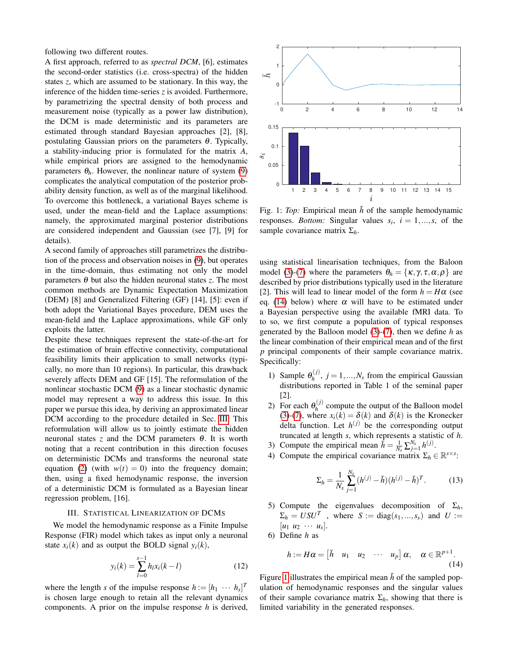following two different routes.

A first approach, referred to as *spectral DCM*, [6], estimates the second-order statistics (i.e. cross-spectra) of the hidden states *z*, which are assumed to be stationary. In this way, the inference of the hidden time-series *z* is avoided. Furthermore, by parametrizing the spectral density of both process and measurement noise (typically as a power law distribution), the DCM is made deterministic and its parameters are estimated through standard Bayesian approaches [2], [8], postulating Gaussian priors on the parameters  $\theta$ . Typically, a stability-inducing prior is formulated for the matrix *A*, while empirical priors are assigned to the hemodynamic parameters  $\theta_h$ . However, the nonlinear nature of system [\(9\)](#page-1-4) complicates the analytical computation of the posterior probability density function, as well as of the marginal likelihood. To overcome this bottleneck, a variational Bayes scheme is used, under the mean-field and the Laplace assumptions: namely, the approximated marginal posterior distributions are considered independent and Gaussian (see [7], [9] for details).

A second family of approaches still parametrizes the distribution of the process and observation noises in [\(9\)](#page-1-4), but operates in the time-domain, thus estimating not only the model parameters  $\theta$  but also the hidden neuronal states *z*. The most common methods are Dynamic Expectation Maximization (DEM) [8] and Generalized Filtering (GF) [14], [5]: even if both adopt the Variational Bayes procedure, DEM uses the mean-field and the Laplace approximations, while GF only exploits the latter.

Despite these techniques represent the state-of-the-art for the estimation of brain effective connectivity, computational feasibility limits their application to small networks (typically, no more than 10 regions). In particular, this drawback severely affects DEM and GF [15]. The reformulation of the nonlinear stochastic DCM [\(9\)](#page-1-4) as a linear stochastic dynamic model may represent a way to address this issue. In this paper we pursue this idea, by deriving an approximated linear DCM according to the procedure detailed in Sec. [III.](#page-2-0) This reformulation will allow us to jointly estimate the hidden neuronal states *z* and the DCM parameters  $\theta$ . It is worth noting that a recent contribution in this direction focuses on deterministic DCMs and transforms the neuronal state equation [\(2\)](#page-1-2) (with  $w(t) = 0$ ) into the frequency domain; then, using a fixed hemodynamic response, the inversion of a deterministic DCM is formulated as a Bayesian linear regression problem, [16].

# III. STATISTICAL LINEARIZATION OF DCMS

<span id="page-2-0"></span>We model the hemodynamic response as a Finite Impulse Response (FIR) model which takes as input only a neuronal state  $x_i(k)$  and as output the BOLD signal  $y_i(k)$ ,

$$
y_i(k) = \sum_{l=0}^{s-1} h_l x_i(k-l)
$$
 (12)

where the length *s* of the impulse response  $h := [h_1 \cdots h_s]^T$ is chosen large enough to retain all the relevant dynamics components. A prior on the impulse response *h* is derived,

<span id="page-2-2"></span>

Fig. 1: *Top*: Empirical mean  $\bar{h}$  of the sample hemodynamic responses. *Bottom:* Singular values  $s_i$ ,  $i = 1,...,s$ , of the sample covariance matrix Σ*h*.

using statistical linearisation techniques, from the Baloon model [\(3\)](#page-1-6)-[\(7\)](#page-1-3) where the parameters  $\theta_h = {\kappa, \gamma, \tau, \alpha, \rho}$  are described by prior distributions typically used in the literature [2]. This will lead to linear model of the form  $h = H\alpha$  (see eq. [\(14\)](#page-2-1) below) where  $\alpha$  will have to be estimated under a Bayesian perspective using the available fMRI data. To to so, we first compute a population of typical responses generated by the Balloon model [\(3\)](#page-1-6)-[\(7\)](#page-1-3), then we define *h* as the linear combination of their empirical mean and of the first *p* principal components of their sample covariance matrix. Specifically:

- 1) Sample  $\theta_h^{(j)}$  $h_h^{(J)}$ ,  $j = 1, ..., N_s$  from the empirical Gaussian distributions reported in Table 1 of the seminal paper [2].
- 2) For each  $\theta_h^{(j)}$  $h_h^{(J)}$  compute the output of the Balloon model [\(3\)](#page-1-6)-[\(7\)](#page-1-3), where  $x_i(k) = \delta(k)$  and  $\delta(k)$  is the Kronecker delta function. Let  $h^{(j)}$  be the corresponding output truncated at length *s*, which represents a statistic of *h*.
- 3) Compute the empirical mean  $\bar{h} = \frac{1}{N_s} \sum_{j=1}^{N_s} h^{(j)}$ .
- 4) Compute the empirical covariance matrix  $\Sigma_h \in \mathbb{R}^{s \times s}$ :

<span id="page-2-3"></span>
$$
\Sigma_h = \frac{1}{N_s} \sum_{j=1}^{N_s} (h^{(j)} - \bar{h})(h^{(j)} - \bar{h})^T.
$$
 (13)

- 5) Compute the eigenvalues decomposition of  $\Sigma_h$ ,  $\Sigma_h = USU^T$ , where  $S := diag(s_1, ..., s_s)$  and  $U :=$  $[u_1 \; u_2 \; \cdots \; u_s].$
- 6) Define *h* as

<span id="page-2-1"></span>
$$
h:=H\alpha=\begin{bmatrix} \bar{h} & u_1 & u_2 & \cdots & u_p \end{bmatrix} \alpha, \quad \alpha \in \mathbb{R}^{p+1}.
$$
\n(14)

Figure [1](#page-2-2) illustrates the empirical mean *h* of the sampled population of hemodynamic responses and the singular values of their sample covariance matrix  $\Sigma_h$ , showing that there is limited variability in the generated responses.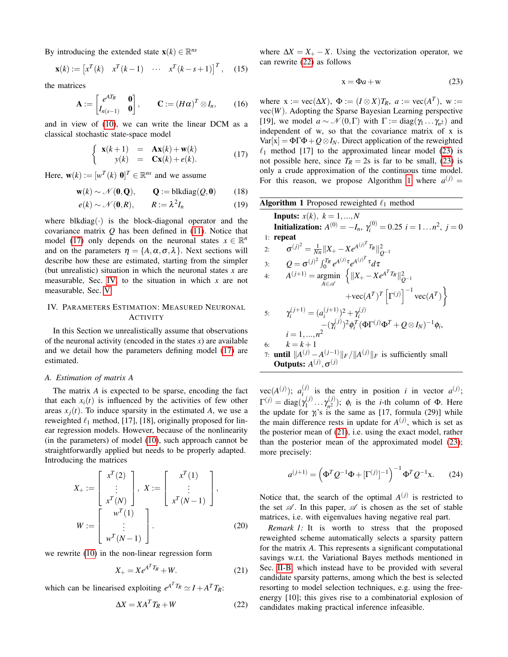By introducing the extended state  $\mathbf{x}(k) \in \mathbb{R}^{ns}$ 

$$
\mathbf{x}(k) := \begin{bmatrix} x^T(k) & x^T(k-1) & \cdots & x^T(k-s+1) \end{bmatrix}^T, \quad (15)
$$

the matrices

<span id="page-3-6"></span>
$$
\mathbf{A} := \begin{bmatrix} e^{AT_R} & \mathbf{0} \\ I_{n(s-1)} & \mathbf{0} \end{bmatrix}, \qquad \mathbf{C} := (H\alpha)^T \otimes I_n, \qquad (16)
$$

and in view of [\(10\)](#page-1-7), we can write the linear DCM as a classical stochastic state-space model

<span id="page-3-1"></span>
$$
\begin{cases}\n\mathbf{x}(k+1) = \mathbf{A}\mathbf{x}(k) + \mathbf{w}(k) \\
y(k) = \mathbf{C}\mathbf{x}(k) + e(k).\n\end{cases}
$$
\n(17)

Here,  $\mathbf{w}(k) := [w^T(k) \; \mathbf{0}]^T \in \mathbb{R}^{ns}$  and we assume

$$
\mathbf{w}(k) \sim \mathcal{N}(\mathbf{0}, \mathbf{Q}), \qquad \mathbf{Q} := \text{blkdiag}(Q, \mathbf{0}) \tag{18}
$$

$$
e(k) \sim \mathcal{N}(\mathbf{0}, R), \qquad R := \lambda^2 I_n \tag{19}
$$

where blkdiag( $\cdot$ ) is the block-diagonal operator and the covariance matrix *Q* has been defined in [\(11\)](#page-1-8). Notice that model [\(17\)](#page-3-1) only depends on the neuronal states  $x \in \mathbb{R}^n$ and on the parameters  $\eta = \{A, \alpha, \sigma, \lambda\}$ . Next sections will describe how these are estimated, starting from the simpler (but unrealistic) situation in which the neuronal states *x* are measurable, Sec. [IV,](#page-3-0) to the situation in which *x* are not measurable, Sec. [V.](#page-4-0)

# <span id="page-3-0"></span>IV. PARAMETERS ESTIMATION: MEASURED NEURONAL ACTIVITY

In this Section we unrealistically assume that observations of the neuronal activity (encoded in the states  $x$ ) are available and we detail how the parameters defining model [\(17\)](#page-3-1) are estimated.

# <span id="page-3-9"></span>*A. Estimation of matrix A*

The matrix *A* is expected to be sparse, encoding the fact that each  $x_i(t)$  is influenced by the activities of few other areas  $x_i(t)$ . To induce sparsity in the estimated *A*, we use a reweighted  $\ell_1$  method, [17], [18], originally proposed for linear regression models. However, because of the nonlinearity (in the parameters) of model [\(10\)](#page-1-7), such approach cannot be straightforwardly applied but needs to be properly adapted. Introducing the matrices

$$
X_{+} := \begin{bmatrix} x^{T}(2) \\ \vdots \\ x^{T}(N) \end{bmatrix}, \ X := \begin{bmatrix} x^{T}(1) \\ \vdots \\ x^{T}(N-1) \end{bmatrix},
$$

$$
W := \begin{bmatrix} w^{T}(1) \\ \vdots \\ w^{T}(N-1) \end{bmatrix}.
$$
(20)

we rewrite [\(10\)](#page-1-7) in the non-linear regression form

$$
X_{+} = X e^{A^{T} T_{R}} + W. \tag{21}
$$

which can be linearised exploiting  $e^{A^T T_R} \simeq I + A^T T_R$ :

$$
\Delta X = XA^T T_R + W \tag{22}
$$

where  $\Delta X = X_+ - X$ . Using the vectorization operator, we can rewrite [\(22\)](#page-3-2) as follows

<span id="page-3-3"></span>
$$
x = \Phi a + w \tag{23}
$$

where  $x := vec(\Delta X)$ ,  $\Phi := (I \otimes X)T_R$ ,  $a := vec(A^T)$ ,  $w :=$ vec(*W*). Adopting the Sparse Bayesian Learning perspective [19], we model  $a \sim \mathcal{N}(0,\Gamma)$  with  $\Gamma := diag(\gamma_1 \dots \gamma_{n^2})$  and independent of w, so that the covariance matrix of x is  $Var[x] = \Phi \Gamma \Phi + Q \otimes I_N$ . Direct application of the reweighted  $\ell_1$  method [17] to the approximated linear model [\(23\)](#page-3-3) is not possible here, since  $T_R = 2s$  is far to be small, [\(23\)](#page-3-3) is only a crude approximation of the continuous time model. For this reason, we propose Algorithm [1](#page-3-4) where  $a^{(j)} =$ 

<span id="page-3-8"></span><span id="page-3-7"></span><span id="page-3-4"></span>Algorithm 1 Proposed reweighted 
$$
\ell_1
$$
 method  
\n**InputStream:**  $\Lambda^{(0)} = -I_n$ ,  $\gamma_i^{(0)} = 0.25$   $i = 1...n^2$ ,  $j = 0$   
\n1: **repeat**  
\n2:  $\sigma^{(j)^2} = \frac{1}{Nn} ||X_+ - X e^{A^{(j)^T} T_R}||_{Q^{-1}}^2$   
\n3:  $Q = \sigma^{(j)^2} \int_0^{T_R} e^{A^{(j)} \tau} e^{A^{(j)^T} \tau} d\tau$   
\n4:  $A^{(j+1)} = \underset{A \in \mathcal{A}}{\arg\min} \left\{ ||X_+ - X e^{A^T T_R}||_{Q^{-1}}^2 + \text{vec}(A^T) \right\}$   
\n5:  $\gamma_i^{(j+1)} = (a_i^{(j+1)})^2 + \gamma_i^{(j)}$   
\n $-(\gamma_i^{(j)})^2 \phi_i^T (\Phi \Gamma^{(j)} \Phi^T + Q \otimes I_N)^{-1} \phi_i$ ,  
\n $i = 1,...,n^2$   
\n6:  $k = k + 1$   
\n7: **until**  $||A^{(j)} - A^{(j-1)}||_F / ||A^{(j)}||_F$  is sufficiently small  
\n**OutputStream:**  $A^{(j)}, \sigma^{(j)}$ 

 $vec(A^{(j)})$ ;  $a_i^{(j)}$  $\sum_{i=1}^{(j)}$  is the entry in position *i* in vector  $a^{(j)}$ ;  $\Gamma^{(j)} = \text{diag}(\gamma_1^{(j)})$  $\gamma_1^{(j)} \dots \gamma_{n^2}^{(j)}$  $\phi_n^{(1)}$ );  $\phi_i$  is the *i*-th column of Φ. Here the update for  $\gamma_i$ 's is the same as [17, formula (29)] while the main difference rests in update for  $A^{(j)}$ , which is set as the posterior mean of [\(21\)](#page-3-5), i.e. using the exact model, rather than the posterior mean of the approximated model [\(23\)](#page-3-3); more precisely:

$$
a^{(j+1)} = \left(\Phi^T Q^{-1} \Phi + [\Gamma^{(j)}]^{-1}\right)^{-1} \Phi^T Q^{-1} x.
$$
 (24)

Notice that, the search of the optimal  $A^{(j)}$  is restricted to the set  $\mathscr A$ . In this paper,  $\mathscr A$  is chosen as the set of stable matrices, i.e. with eigenvalues having negative real part.

<span id="page-3-5"></span><span id="page-3-2"></span>*Remark 1:* It is worth to stress that the proposed reweighted scheme automatically selects a sparsity pattern for the matrix *A*. This represents a significant computational savings w.r.t. the Variational Bayes methods mentioned in Sec. [II-B,](#page-1-9) which instead have to be provided with several candidate sparsity patterns, among which the best is selected resorting to model selection techniques, e.g. using the freeenergy [10]; this gives rise to a combinatorial explosion of candidates making practical inference infeasible.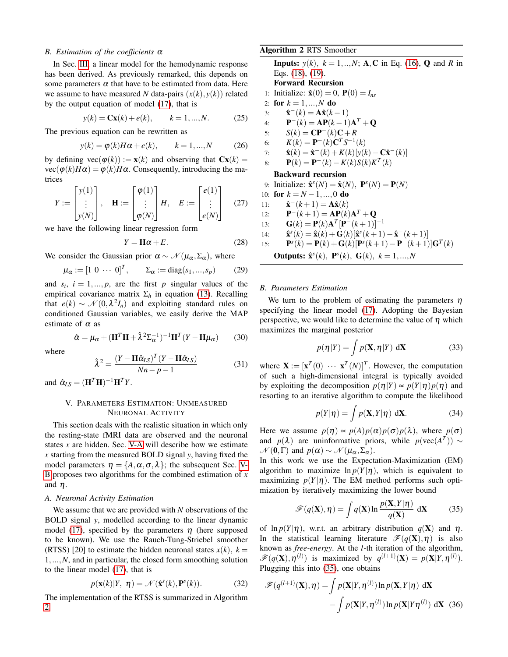#### *B. Estimation of the coefficients* α

In Sec. [III,](#page-2-0) a linear model for the hemodynamic response has been derived. As previously remarked, this depends on some parameters  $\alpha$  that have to be estimated from data. Here we assume to have measured *N* data-pairs  $(x(k), y(k))$  related by the output equation of model [\(17\)](#page-3-1), that is

$$
y(k) = \mathbf{C}\mathbf{x}(k) + e(k), \qquad k = 1, ..., N.
$$
 (25)

The previous equation can be rewritten as

$$
y(k) = \varphi(k)H\alpha + e(k), \qquad k = 1,...,N \tag{26}
$$

by defining  $\text{vec}(\varphi(k)) := \mathbf{x}(k)$  and observing that  $\mathbf{C}\mathbf{x}(k) =$  $vec(\phi(k)H\alpha) = \phi(k)H\alpha$ . Consequently, introducing the matrices

$$
Y := \begin{bmatrix} y(1) \\ \vdots \\ y(N) \end{bmatrix}, \quad \mathbf{H} := \begin{bmatrix} \varphi(1) \\ \vdots \\ \varphi(N) \end{bmatrix} H, \quad E := \begin{bmatrix} e(1) \\ \vdots \\ e(N) \end{bmatrix} \quad (27)
$$

we have the following linear regression form

$$
Y = \mathbf{H}\alpha + E. \tag{28}
$$

We consider the Gaussian prior  $\alpha \sim \mathcal{N}(\mu_{\alpha}, \Sigma_{\alpha})$ , where

$$
\mu_{\alpha} := [1 \ 0 \ \cdots \ 0]^T, \qquad \Sigma_{\alpha} := \text{diag}(s_1, ..., s_p)
$$
 (29)

and  $s_i$ ,  $i = 1, ..., p$ , are the first *p* singular values of the empirical covariance matrix  $Σ<sub>h</sub>$  in equation [\(13\)](#page-2-3). Recalling that  $e(k) \sim \mathcal{N}(0, \lambda^2 I_n)$  and exploiting standard rules on conditioned Gaussian variables, we easily derive the MAP estimate of  $\alpha$  as

<span id="page-4-6"></span>
$$
\hat{\alpha} = \mu_{\alpha} + (\mathbf{H}^T \mathbf{H} + \hat{\lambda}^2 \Sigma_{\alpha}^{-1})^{-1} \mathbf{H}^T (Y - \mathbf{H} \mu_{\alpha}) \qquad (30)
$$

where

<span id="page-4-7"></span>
$$
\hat{\lambda}^2 = \frac{(Y - \mathbf{H}\hat{\alpha}_{LS})^T (Y - \mathbf{H}\hat{\alpha}_{LS})}{Nn - p - 1}
$$
(31)

and  $\hat{\alpha}_{LS} = (\mathbf{H}^T \mathbf{H})^{-1} \mathbf{H}^T Y$ .

# <span id="page-4-0"></span>V. PARAMETERS ESTIMATION: UNMEASURED NEURONAL ACTIVITY

This section deals with the realistic situation in which only the resting-state fMRI data are observed and the neuronal states *x* are hidden. Sec. [V-A](#page-4-1) will describe how we estimate *x* starting from the measured BOLD signal *y*, having fixed the model parameters  $\eta = \{A, \alpha, \sigma, \lambda\}$ ; the subsequent Sec. [V-](#page-4-2)[B](#page-4-2) proposes two algorithms for the combined estimation of *x* and  $\eta$ .

#### <span id="page-4-1"></span>*A. Neuronal Activity Estimation*

We assume that we are provided with *N* observations of the BOLD signal *y*, modelled according to the linear dynamic model [\(17\)](#page-3-1), specified by the parameters  $\eta$  (here supposed to be known). We use the Rauch-Tung-Striebel smoother (RTSS) [20] to estimate the hidden neuronal states  $x(k)$ ,  $k =$ 1,...,*N*, and in particular, the closed form smoothing solution to the linear model [\(17\)](#page-3-1), that is

<span id="page-4-5"></span>
$$
p(\mathbf{x}(k)|Y, \eta) = \mathcal{N}(\hat{\mathbf{x}}^s(k), \mathbf{P}^s(k)).
$$
 (32)

The implementation of the RTSS is summarized in Algorithm [2.](#page-4-3)

<span id="page-4-3"></span>Algorithm 2 RTS Smoother

**Inputs:**  $y(k)$ ,  $k = 1, ..., N$ ; **A**, **C** in Eq. [\(16\)](#page-3-6), **Q** and *R* in Eqs. [\(18\)](#page-3-7), [\(19\)](#page-3-8). Forward Recursion 1: Initialize:  $\hat{\mathbf{x}}(0) = 0$ ,  $\mathbf{P}(0) = I_{ns}$ 2: for  $k = 1, ..., N$  do  $3:$  $\hat{\mathbf{x}}^{-}(k) = A\hat{\mathbf{x}}(k-1)$ 4:  $P^{-}(k) = AP(k-1)A^{T} + Q$ 5:  $S(k) = \mathbf{CP}^{-}(k)\mathbf{C} + R$ 6:  $K(k) = \mathbf{P}^{-}(k)\mathbf{C}^{T}S^{-1}(k)$ 7:  $\hat{\mathbf{x}}(k) = \hat{\mathbf{x}}^{-}(k) + K(k)[y(k) - \mathbf{C}\hat{\mathbf{x}}^{-}(k)]$ 8:  $\mathbf{P}(k) = \mathbf{P}^{-}(k) - K(k)S(k)K^{T}(k)$ Backward recursion 9: Initialize:  $\hat{\mathbf{x}}^{s}(N) = \hat{\mathbf{x}}(N)$ ,  $\mathbf{P}^{s}(N) = \mathbf{P}(N)$ 10: **for**  $k = N - 1, ..., 0$  **do**  $11:$  $\hat{\mathbf{x}}^-(k+1) = \mathbf{A}\hat{\mathbf{x}}(k)$  $12:$  $-(k+1) = AP(k)A^{T} + Q$ 13:  $\mathbf{G}(k) = \mathbf{P}(k) \mathbf{A}^T [\mathbf{P}^-(k+1)]^{-1}$  $14:$  $s(k) = \hat{\mathbf{x}}(k) + \mathbf{G}(k)[\hat{\mathbf{x}}^s(k+1) - \hat{\mathbf{x}}^-(k+1)]$  $15:$  $S(k) = P(k) + G(k)[P<sup>s</sup>(k+1) - P<sup>-</sup>(k+1)]G<sup>T</sup>(k)$ **Outputs:**  $\hat{\mathbf{x}}^{s}(k)$ ,  $\mathbf{P}^{s}(k)$ ,  $\mathbf{G}(k)$ ,  $k = 1,...,N$ 

# <span id="page-4-2"></span>*B. Parameters Estimation*

We turn to the problem of estimating the parameters  $\eta$ specifying the linear model [\(17\)](#page-3-1). Adopting the Bayesian perspective, we would like to determine the value of  $\eta$  which maximizes the marginal posterior

$$
p(\eta|Y) = \int p(\mathbf{X}, \eta|Y) d\mathbf{X}
$$
 (33)

where  $\mathbf{X} := [\mathbf{x}^T(0) \cdots \mathbf{x}^T(N)]^T$ . However, the computation of such a high-dimensional integral is typically avoided by exploiting the decomposition  $p(\eta|Y) \propto p(Y|\eta)p(\eta)$  and resorting to an iterative algorithm to compute the likelihood

$$
p(Y|\eta) = \int p(\mathbf{X}, Y|\eta) \, d\mathbf{X}.\tag{34}
$$

Here we assume  $p(\eta) \propto p(A)p(\alpha)p(\sigma)p(\lambda)$ , where  $p(\sigma)$ and  $p(\lambda)$  are uninformative priors, while  $p(\text{vec}(A^T)) \sim$  $\mathcal{N}(\mathbf{0},\Gamma)$  and  $p(\alpha) \sim \mathcal{N}(\mu_{\alpha},\Sigma_{\alpha}).$ 

In this work we use the Expectation-Maximization (EM) algorithm to maximize  $\ln p(Y|\eta)$ , which is equivalent to maximizing  $p(Y|\eta)$ . The EM method performs such optimization by iteratively maximizing the lower bound

<span id="page-4-4"></span>
$$
\mathscr{F}(q(\mathbf{X}), \boldsymbol{\eta}) = \int q(\mathbf{X}) \ln \frac{p(\mathbf{X}, Y | \boldsymbol{\eta})}{q(\mathbf{X})} d\mathbf{X}
$$
 (35)

of  $\ln p(Y|\eta)$ , w.r.t. an arbitrary distribution  $q(\mathbf{X})$  and  $\eta$ . In the statistical learning literature  $\mathcal{F}(q(\mathbf{X}), \eta)$  is also known as *free-energy*. At the *l*-th iteration of the algorithm,  $\mathscr{F}(q(\mathbf{X}), \boldsymbol{\eta}^{(l)})$  is maximized by  $q^{(l+1)}(\mathbf{X}) = p(\mathbf{X}|Y, \boldsymbol{\eta}^{(l)})$ . Plugging this into [\(35\)](#page-4-4), one obtains

$$
\mathscr{F}(q^{(l+1)}(\mathbf{X}), \boldsymbol{\eta}) = \int p(\mathbf{X}|Y, \boldsymbol{\eta}^{(l)}) \ln p(\mathbf{X}, Y|\boldsymbol{\eta}) d\mathbf{X}
$$

$$
- \int p(\mathbf{X}|Y, \boldsymbol{\eta}^{(l)}) \ln p(\mathbf{X}|Y\boldsymbol{\eta}^{(l)}) d\mathbf{X} (36)
$$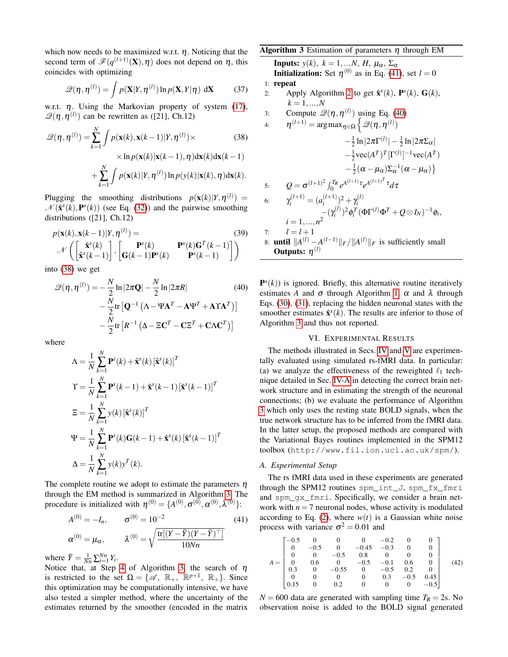which now needs to be maximized w.r.t.  $\eta$ . Noticing that the second term of  $\mathscr{F}(q^{(l+1)}(\mathbf{X}), \boldsymbol{\eta})$  does not depend on  $\boldsymbol{\eta}$ , this coincides with optimizing

$$
\mathcal{Q}(\eta, \eta^{(l)}) = \int p(\mathbf{X}|Y, \eta^{(l)}) \ln p(\mathbf{X}, Y|\eta) \, d\mathbf{X} \tag{37}
$$

w.r.t.  $\eta$ . Using the Markovian property of system [\(17\)](#page-3-1),  $\mathscr{Q}(\eta, \eta^{(l)})$  can be rewritten as ([21], Ch.12)

$$
\mathcal{Q}(\boldsymbol{\eta}, \boldsymbol{\eta}^{(l)}) = \sum_{k=1}^{N} \int p(\mathbf{x}(k), \mathbf{x}(k-1)|Y, \boldsymbol{\eta}^{(l)}) \times \qquad (38)
$$

$$
\times \ln p(\mathbf{x}(k)|\mathbf{x}(k-1), \boldsymbol{\eta}) \mathrm{d}\mathbf{x}(k) \mathrm{d}\mathbf{x}(k-1)
$$

$$
+ \sum_{k=1}^{N} \int p(\mathbf{x}(k)|Y, \boldsymbol{\eta}^{(l)}) \ln p(\mathbf{y}(k)|\mathbf{x}(k), \boldsymbol{\eta}) \mathrm{d}\mathbf{x}(k).
$$

Plugging the smoothing distributions  $p(\mathbf{x}(k)|Y,\eta^{(l)}) =$  $\mathcal{N}(\hat{\mathbf{x}}^s(k), \mathbf{P}^s(k))$  (see Eq. [\(32\)](#page-4-5)) and the pairwise smoothing distributions ([21], Ch.12)

$$
p(\mathbf{x}(k), \mathbf{x}(k-1)|Y, \boldsymbol{\eta}^{(l)}) = \mathbf{P}^{s}(k)
$$

$$
\mathcal{N}\left(\begin{bmatrix} \hat{\mathbf{x}}^{s}(k) \\ \hat{\mathbf{x}}^{s}(k-1) \end{bmatrix}, \begin{bmatrix} \mathbf{P}^{s}(k) \\ \mathbf{G}(k-1)\mathbf{P}^{s}(k) \end{bmatrix}, \begin{bmatrix} \mathbf{P}^{s}(k)\mathbf{G}^{T}(k-1) \\ \mathbf{P}^{s}(k-1) \end{bmatrix}\right)
$$
(39)

into [\(38\)](#page-5-1) we get

$$
\mathcal{Q}(\eta, \eta^{(I)}) = -\frac{N}{2} \ln|2\pi \mathbf{Q}| - \frac{N}{2} \ln|2\pi R|
$$
(40)  

$$
-\frac{N}{2} \text{tr} [\mathbf{Q}^{-1} (\mathbf{\Lambda} - \mathbf{\Psi} \mathbf{A}^T - \mathbf{A} \mathbf{\Psi}^T + \mathbf{A} \mathbf{\Upsilon} \mathbf{A}^T)]
$$

$$
-\frac{N}{2} \text{tr} [R^{-1} (\mathbf{\Delta} - \Xi \mathbf{C}^T - \mathbf{C} \Xi^T + \mathbf{C} \mathbf{\Lambda} \mathbf{C}^T)]
$$

where

$$
\Lambda = \frac{1}{N} \sum_{k=1}^{N} \mathbf{P}^{s}(k) + \hat{\mathbf{x}}^{s}(k) [\hat{\mathbf{x}}^{s}(k)]^{T}
$$
  
\n
$$
\Upsilon = \frac{1}{N} \sum_{k=1}^{N} \mathbf{P}^{s}(k-1) + \hat{\mathbf{x}}^{s}(k-1) [\hat{\mathbf{x}}^{s}(k-1)]^{T}
$$
  
\n
$$
\Xi = \frac{1}{N} \sum_{k=1}^{N} y(k) [\hat{\mathbf{x}}^{s}(k)]^{T}
$$
  
\n
$$
\Psi = \frac{1}{N} \sum_{k=1}^{N} \mathbf{P}^{s}(k) \mathbf{G}(k-1) + \hat{\mathbf{x}}^{s}(k) [\hat{\mathbf{x}}^{s}(k-1)]^{T}
$$
  
\n
$$
\Delta = \frac{1}{N} \sum_{k=1}^{N} y(k) y^{T}(k).
$$

The complete routine we adopt to estimate the parameters  $\eta$ through the EM method is summarized in Algorithm [3.](#page-5-2) The procedure is initialized with  $\eta^{(0)} = \{A^{(0)}, \sigma^{(0)}, \alpha^{(0)}, \lambda^{(0)}\}$ :

$$
A^{(0)} = -I_n, \qquad \sigma^{(0)} = 10^{-2}
$$
\n
$$
\alpha^{(0)} = \mu_\alpha, \qquad \lambda^{(0)} = \sqrt{\frac{\text{tr}[(Y - \bar{Y})(Y - \bar{Y})^\top]}{10Nn}}
$$
\n(41)

where  $\bar{Y} = \frac{1}{Nn} \sum_{i=1}^{Nn} Y_i$ .

Notice that, at Step [4](#page-5-2) of Algorithm [3,](#page-5-2) the search of  $\eta$ is restricted to the set  $\Omega = \{ \mathscr{A}, \mathbb{R}_+, \mathbb{R}^{p+1}, \mathbb{R}_+ \}$ . Since this optimization may be computationally intensive, we have also tested a simpler method, where the uncertainty of the estimates returned by the smoother (encoded in the matrix

## <span id="page-5-2"></span>**Algorithm 3** Estimation of parameters  $\eta$  through EM

**Inputs:**  $y(k)$ ,  $k = 1, ..., N$ ,  $H$ ,  $\mu_{\alpha}$ ,  $\Sigma_{\alpha}$ **Initialization:** Set  $\eta^{(0)}$  as in Eq. [\(41\)](#page-5-3), set  $l = 0$ 1: repeat 2: Apply Algorithm [2](#page-4-3) to get  $\hat{\mathbf{x}}^s(k)$ ,  $\mathbf{P}^s(k)$ ,  $\mathbf{G}(k)$ ,  $k = 1, ..., N$ 3: Compute  $\mathcal{Q}(\eta, \eta^{(l)})$  using Eq. [\(40\)](#page-5-4)

4. 
$$
\eta^{(l+1)} = \arg \max_{\eta \in \Omega} \left\{ \mathcal{Q}(\eta, \eta^{(l)}) \right\}
$$

<span id="page-5-1"></span>
$$
-\frac{1}{2}\ln|2\pi\Gamma^{(l)}| - \frac{1}{2}\ln|2\pi\Sigma_{\alpha}|
$$
  
\n
$$
-\frac{1}{2}\text{vec}(A^T)^T[\Gamma^{(l)}]^{-1}\text{vec}(A^T)
$$
  
\n
$$
-\frac{1}{2}(\alpha - \mu_{\alpha})\Sigma_{\alpha}^{-1}(\alpha - \mu_{\alpha})\}
$$
  
\n5:  $Q = \sigma^{(l+1)^2} \int_0^{T_R} e^{A^{(l+1)}\tau} e^{A^{(l+1)^T}\tau} d\tau$   
\n6:  $\gamma_i^{(l+1)} = (a_i^{(l+1)})^2 + \gamma_i^{(l)}$   
\n
$$
-(\gamma_i^{(l)})^2 \phi_i^T(\Phi\Gamma^{(l)}\Phi^T + Q \otimes I_N)^{-1} \phi_i,
$$
  
\n $i = 1,...,n^2$   
\n7:  $l = l + 1$   
\n8: until  $||A^{(l)} - A^{(l-1)}||_F / ||A^{(l)}||_F$  is sufficiently small  
\nOutputs:  $\eta^{(l)}$ 

<span id="page-5-4"></span> $\mathbf{P}^s(k)$ ) is ignored. Briefly, this alternative routine iteratively estimates *A* and  $\sigma$  through Algorithm [1,](#page-3-4)  $\alpha$  and  $\lambda$  through Eqs. [\(30\)](#page-4-6), [\(31\)](#page-4-7), replacing the hidden neuronal states with the smoother estimates  $\hat{\mathbf{x}}^{s}(k)$ . The results are inferior to those of Algorithm [3](#page-5-2) and thus not reported.

#### VI. EXPERIMENTAL RESULTS

<span id="page-5-0"></span>The methods illustrated in Secs. [IV](#page-3-0) and [V](#page-4-0) are experimentally evaluated using simulated rs-fMRI data. In particular: (a) we analyze the effectiveness of the reweighted  $\ell_1$  technique detailed in Sec. [IV-A](#page-3-9) in detecting the correct brain network structure and in estimating the strength of the neuronal connections; (b) we evaluate the performance of Algorithm [3](#page-5-2) which only uses the resting state BOLD signals, when the true network structure has to be inferred from the fMRI data. In the latter setup, the proposed methods are compared with the Variational Bayes routines implemented in the SPM12 toolbox (http://www.fil.ion.ucl.ac.uk/spm/).

#### <span id="page-5-6"></span>*A. Experimental Setup*

The rs fMRI data used in these experiments are generated through the SPM12 routines spm\_int\_J, spm\_fx\_fmri and spm\_gx\_fmri. Specifically, we consider a brain network with  $n = 7$  neuronal nodes, whose activity is modulated according to Eq. [\(2\)](#page-1-2), where  $w(t)$  is a Gaussian white noise process with variance  $\sigma^2 = 0.01$  and

<span id="page-5-5"></span><span id="page-5-3"></span>
$$
A = \begin{bmatrix} -0.5 & 0 & 0 & 0 & -0.2 & 0 & 0 \\ 0 & -0.5 & 0 & -0.45 & -0.3 & 0 & 0 \\ 0 & 0 & -0.5 & 0.8 & 0 & 0 & 0 \\ 0 & 0.6 & 0 & -0.5 & -0.1 & 0.6 & 0 \\ 0.3 & 0 & -0.55 & 0 & -0.5 & 0.2 & 0 \\ 0 & 0 & 0 & 0 & 0.3 & -0.5 & 0.45 \\ 0.15 & 0 & 0.2 & 0 & 0 & 0 & -0.5 \end{bmatrix}
$$
 (42)

 $N = 600$  data are generated with sampling time  $T_R = 2$ s. No observation noise is added to the BOLD signal generated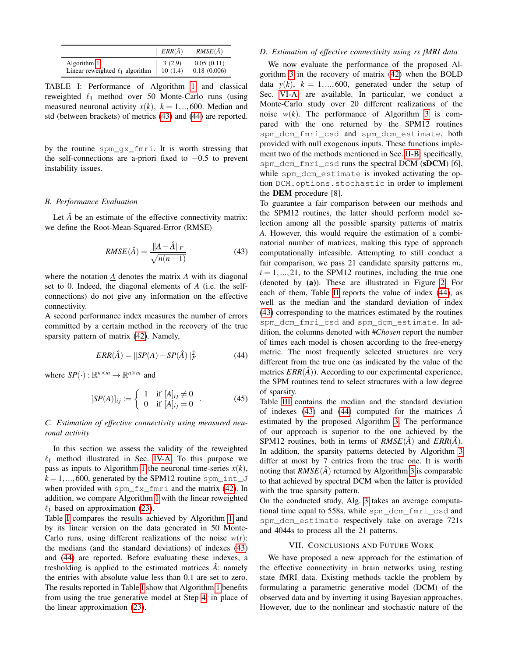<span id="page-6-3"></span>

|                                                                                                                                                                      | $ERR(\hat{A})$ | $RMSE(\hat{A})$           |
|----------------------------------------------------------------------------------------------------------------------------------------------------------------------|----------------|---------------------------|
| Algorithm 1 $\begin{array}{ c c c c c } \hline 3 & 2.9 \end{array}$<br>Linear reweighted $\ell_1$ algorithm $\begin{array}{ c c c } \hline 3 & 10 & 1.4 \end{array}$ |                | 0.05(0.11)<br>0.18(0.006) |

TABLE I: Performance of Algorithm [1](#page-3-4) and classical reweighted  $\ell_1$  method over 50 Monte-Carlo runs (using measured neuronal activity  $x(k)$ ,  $k = 1, \dots, 600$ . Median and std (between brackets) of metrics [\(43\)](#page-6-1) and [\(44\)](#page-6-2) are reported.

by the routine spm\_gx\_fmri. It is worth stressing that the self-connections are a-priori fixed to  $-0.5$  to prevent instability issues.

## *B. Performance Evaluation*

Let  $\hat{A}$  be an estimate of the effective connectivity matrix: we define the Root-Mean-Squared-Error (RMSE)

<span id="page-6-1"></span>
$$
RMSE(\hat{A}) = \frac{\|\underline{A} - \hat{\underline{A}}\|_F}{\sqrt{n(n-1)}}\tag{43}
$$

where the notation  $\underline{A}$  denotes the matrix  $A$  with its diagonal set to 0. Indeed, the diagonal elements of *A* (i.e. the selfconnections) do not give any information on the effective connectivity.

A second performance index measures the number of errors committed by a certain method in the recovery of the true sparsity pattern of matrix  $(42)$ . Namely,

<span id="page-6-2"></span>
$$
ERR(\hat{A}) = ||SP(A) - SP(\hat{A})||_F^2
$$
 (44)

where  $SP(\cdot): \mathbb{R}^{n \times m} \to \mathbb{R}^{n \times m}$  and

$$
[SP(A)]_{ij} := \begin{cases} 1 & \text{if } [A]_{ij} \neq 0 \\ 0 & \text{if } [A]_{ij} = 0 \end{cases} . \tag{45}
$$

# *C. Estimation of effective connectivity using measured neuronal activity*

In this section we assess the validity of the reweighted  $\ell_1$  method illustrated in Sec. [IV-A.](#page-3-9) To this purpose we pass as inputs to Algorithm [1](#page-3-4) the neuronal time-series  $x(k)$ ,  $k = 1, ..., 600$ , generated by the SPM12 routine spm\_int\_J when provided with spm\_fx\_fmri and the matrix [\(42\)](#page-5-5). In addition, we compare Algorithm [1](#page-3-4) with the linear reweighted  $\ell_1$  based on approximation [\(23\)](#page-3-3).

Table [I](#page-6-3) compares the results achieved by Algorithm [1](#page-3-4) and by its linear version on the data generated in 50 Monte-Carlo runs, using different realizations of the noise  $w(t)$ : the medians (and the standard deviations) of indexes [\(43\)](#page-6-1) and [\(44\)](#page-6-2) are reported. Before evaluating these indexes, a tresholding is applied to the estimated matrices  $\hat{A}$ : namely the entries with absolute value less than 0.1 are set to zero. The results reported in Table [I](#page-6-3) show that Algorithm [1](#page-3-4) benefits from using the true generative model at Step [4,](#page-3-4) in place of the linear approximation [\(23\)](#page-3-3).

#### *D. Estimation of effective connectivity using rs fMRI data*

We now evaluate the performance of the proposed Algorithm [3](#page-5-2) in the recovery of matrix [\(42\)](#page-5-5) when the BOLD data  $y(k)$ ,  $k = 1, ..., 600$ , generated under the setup of Sec. [VI-A,](#page-5-6) are available. In particular, we conduct a Monte-Carlo study over 20 different realizations of the noise  $w(k)$ . The performance of Algorithm [3](#page-5-2) is compared with the one returned by the SPM12 routines spm\_dcm\_fmri\_csd and spm\_dcm\_estimate, both provided with null exogenous inputs. These functions implement two of the methods mentioned in Sec. [II-B:](#page-1-9) specifically, spm\_dcm\_fmri\_csd runs the spectral DCM (sDCM) [6], while spm\_dcm\_estimate is invoked activating the option DCM.options.stochastic in order to implement the DEM procedure [8].

To guarantee a fair comparison between our methods and the SPM12 routines, the latter should perform model selection among all the possible sparsity patterns of matrix *A*. However, this would require the estimation of a combinatorial number of matrices, making this type of approach computationally infeasible. Attempting to still conduct a fair comparison, we pass 21 candidate sparsity patterns m*<sup>i</sup>* ,  $i = 1, \ldots, 21$ , to the SPM12 routines, including the true one (denoted by (a)). These are illustrated in Figure [2.](#page-7-0) For each of them, Table [II](#page-7-1) reports the value of index [\(44\)](#page-6-2), as well as the median and the standard deviation of index [\(43\)](#page-6-1) corresponding to the matrices estimated by the routines spm\_dcm\_fmri\_csd and spm\_dcm\_estimate. In addition, the columns denoted with #*Chosen* report the number of times each model is chosen according to the free-energy metric. The most frequently selected structures are very different from the true one (as indicated by the value of the metrics  $ERR(\hat{A})$ ). According to our experimental experience, the SPM routines tend to select structures with a low degree of sparsity.

Table [III](#page-7-2) contains the median and the standard deviation of indexes  $(43)$  and  $(44)$  computed for the matrices  $\hat{A}$ estimated by the proposed Algorithm [3.](#page-5-2) The performance of our approach is superior to the one achieved by the SPM12 routines, both in terms of  $RMSE(\hat{A})$  and  $ERR(\hat{A})$ . In addition, the sparsity patterns detected by Algorithm [3](#page-5-2) differ at most by 7 entries from the true one. It is worth noting that  $RMSE(\hat{A})$  returned by Algorithm [3](#page-5-2) is comparable to that achieved by spectral DCM when the latter is provided with the true sparsity pattern.

On the conducted study, Alg. [3](#page-5-2) takes an average computational time equal to 558s, while spm\_dcm\_fmri\_csd and spm\_dcm\_estimate respectively take on average 721s and 4044s to process all the 21 patterns.

#### VII. CONCLUSIONS AND FUTURE WORK

<span id="page-6-0"></span>We have proposed a new approach for the estimation of the effective connectivity in brain networks using resting state fMRI data. Existing methods tackle the problem by formulating a parametric generative model (DCM) of the observed data and by inverting it using Bayesian approaches. However, due to the nonlinear and stochastic nature of the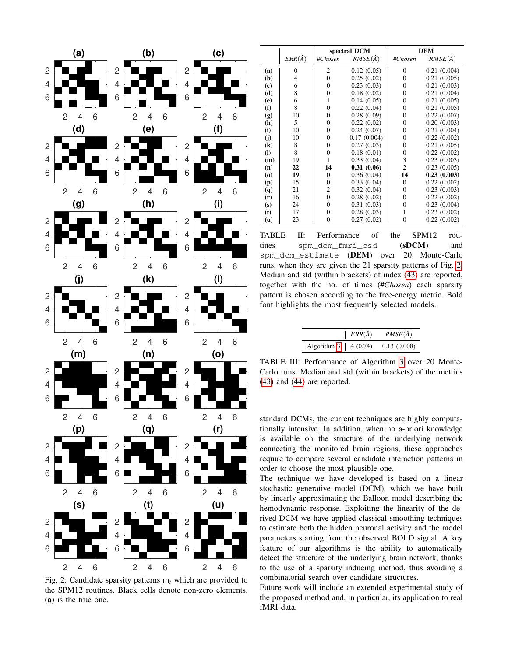<span id="page-7-0"></span>

Fig. 2: Candidate sparsity patterns m*<sup>i</sup>* which are provided to the SPM12 routines. Black cells denote non-zero elements. (a) is the true one.

<span id="page-7-1"></span>

|                                          |                | spectral DCM   |                 | <b>DEM</b>     |                 |
|------------------------------------------|----------------|----------------|-----------------|----------------|-----------------|
|                                          | $ERR(\hat{A})$ | #Chosen        | $RMSE(\hat{A})$ | #Chosen        | $RMSE(\hat{A})$ |
| (a)                                      | $\Omega$       | $\overline{2}$ | 0.12(0.05)      | $\theta$       | 0.21(0.004)     |
| (b)                                      | 4              | $\theta$       | 0.25(0.02)      | $\theta$       | 0.21(0.005)     |
| (c)                                      | 6              | $\theta$       | 0.23(0.03)      | $\theta$       | 0.21(0.003)     |
| (d)                                      | 8              | $\theta$       | 0.18(0.02)      | $\theta$       | 0.21(0.004)     |
| (e)                                      | 6              | 1              | 0.14(0.05)      | $\overline{0}$ | 0.21(0.005)     |
| (f)                                      | 8              | $\theta$       | 0.22(0.04)      | $\theta$       | 0.21(0.005)     |
| (g)                                      | 10             | $\theta$       | 0.28(0.09)      | $\theta$       | 0.22(0.007)     |
| (h)                                      | 5              | $\overline{0}$ | 0.22(0.02)      | $\theta$       | 0.20(0.003)     |
| (i)                                      | 10             | $\theta$       | 0.24(0.07)      | $\theta$       | 0.21(0.004)     |
| (j)                                      | 10             | $\overline{0}$ | 0.17(0.004)     | $\overline{0}$ | 0.22(0.002)     |
| $\left( \mathbf{k}\right)$               | 8              | $\overline{0}$ | 0.27(0.03)      | $\theta$       | 0.21(0.005)     |
| $\mathbf{I}$                             | 8              | $\overline{0}$ | 0.18(0.01)      | $\overline{0}$ | 0.22(0.002)     |
| (m)                                      | 19             | 1              | 0.33(0.04)      | 3              | 0.23(0.003)     |
| (n)                                      | 22             | 14             | 0.31(0.06)      | $\overline{c}$ | 0.23(0.005)     |
| $\boldsymbol{\left( \mathbf{0}\right) }$ | 19             | $\theta$       | 0.36(0.04)      | 14             | 0.23(0.003)     |
| (p)                                      | 15             | $\overline{0}$ | 0.33(0.04)      | $\theta$       | 0.22(0.002)     |
| (q)                                      | 21             | $\overline{2}$ | 0.32(0.04)      | $\theta$       | 0.23(0.003)     |
| (r)                                      | 16             | $\overline{0}$ | 0.28(0.02)      | $\theta$       | 0.22(0.002)     |
| (s)                                      | 24             | $\theta$       | 0.31(0.03)      | $\theta$       | 0.23(0.004)     |
| (t)                                      | 17             | $\theta$       | 0.28(0.03)      | 1              | 0.23(0.002)     |
| (u)                                      | 23             | 0              | 0.27(0.02)      | $\overline{0}$ | 0.22(0.002)     |

TABLE II: Performance of the SPM12 routines spm\_dcm\_fmri\_csd (sDCM) and spm\_dcm\_estimate (DEM) over 20 Monte-Carlo runs, when they are given the 21 sparsity patterns of Fig. [2.](#page-7-0) Median and std (within brackets) of index [\(43\)](#page-6-1) are reported, together with the no. of times (#*Chosen*) each sparsity pattern is chosen according to the free-energy metric. Bold font highlights the most frequently selected models.

|                            | $ERR(\hat{A})$ | $RMSE(\hat{A})$ |
|----------------------------|----------------|-----------------|
| Algorithm $3 \mid 4(0.74)$ |                | 0.13(0.008)     |

<span id="page-7-2"></span>TABLE III: Performance of Algorithm [3](#page-5-2) over 20 Monte-Carlo runs. Median and std (within brackets) of the metrics [\(43\)](#page-6-1) and [\(44\)](#page-6-2) are reported.

standard DCMs, the current techniques are highly computationally intensive. In addition, when no a-priori knowledge is available on the structure of the underlying network connecting the monitored brain regions, these approaches require to compare several candidate interaction patterns in order to choose the most plausible one.

The technique we have developed is based on a linear stochastic generative model (DCM), which we have built by linearly approximating the Balloon model describing the hemodynamic response. Exploiting the linearity of the derived DCM we have applied classical smoothing techniques to estimate both the hidden neuronal activity and the model parameters starting from the observed BOLD signal. A key feature of our algorithms is the ability to automatically detect the structure of the underlying brain network, thanks to the use of a sparsity inducing method, thus avoiding a combinatorial search over candidate structures.

Future work will include an extended experimental study of the proposed method and, in particular, its application to real fMRI data.